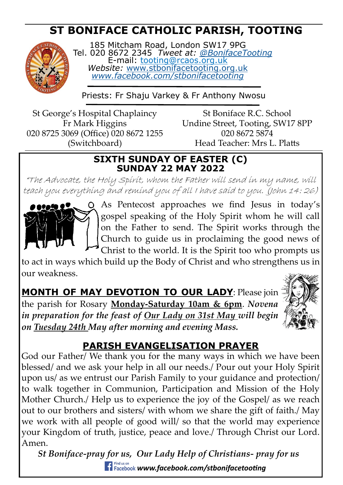# **ST BONIFACE CATHOLIC PARISH, TOOTING**



185 Mitcham Road, London SW17 9PG Tel. 020 8672 2345 *Tweet at: [@BonifaceTooting](http://twitter.com/bonifacetooting)* E-mail: tooting@rcaos.org.uk *Website:* [www.stbonifacetooting.org.uk](http://www.stbonifacetooting.org.uk) *[www.facebook.com/stbonifacetooting](http://www.facebook.com/stbonifacetooting)*

Priests: Fr Shaju Varkey & Fr Anthony Nwosu

St George's Hospital Chaplaincy Fr Mark Higgins 020 8725 3069 (Office) 020 8672 1255 (Switchboard)

St Boniface R.C. School Undine Street, Tooting, SW17 8PP 020 8672 5874 Head Teacher: Mrs L. Platts

#### **SIXTH SUNDAY OF EASTER (C) SUNDAY 22 MAY 2022**

"The Advocate, the Holy Spirit, whom the Father will send in my name, will teach you everything and remind you of all I have said to you. (John 14: 26)

> As Pentecost approaches we find Jesus in today's gospel speaking of the Holy Spirit whom he will call on the Father to send. The Spirit works through the Church to guide us in proclaiming the good news of Christ to the world. It is the Spirit too who prompts us

to act in ways which build up the Body of Christ and who strengthens us in our weakness.

**MONTH OF MAY DEVOTION TO OUR LADY: Please join** the parish for Rosary **Monday-Saturday 10am & 6pm**. *Novena in preparation for the feast of Our Lady on 31st May will begin on Tuesday 24th May after morning and evening Mass.*



## **PARISH EVANGELISATION PRAYER**

God our Father/ We thank you for the many ways in which we have been blessed/ and we ask your help in all our needs./ Pour out your Holy Spirit upon us/ as we entrust our Parish Family to your guidance and protection/ to walk together in Communion, Participation and Mission of the Holy Mother Church./ Help us to experience the joy of the Gospel/ as we reach out to our brothers and sisters/ with whom we share the gift of faith./ May we work with all people of good will/ so that the world may experience your Kingdom of truth, justice, peace and love./ Through Christ our Lord. Amen.

*St Boniface-pray for us, Our Lady Help of Christians- pray for us*  Facebook www.facebook.com/stbonifacetooting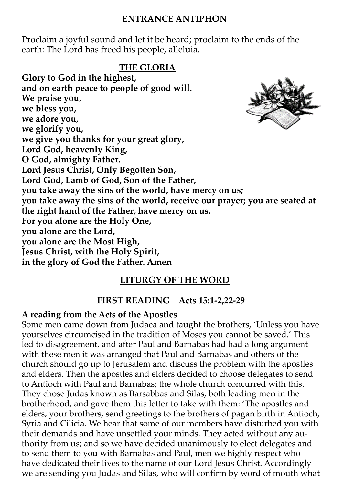#### **ENTRANCE ANTIPHON**

Proclaim a joyful sound and let it be heard; proclaim to the ends of the earth: The Lord has freed his people, alleluia.

**THE GLORIA Glory to God in the highest, and on earth peace to people of good will. We praise you, we bless you, we adore you, we glorify you, we give you thanks for your great glory, Lord God, heavenly King, O God, almighty Father. Lord Jesus Christ, Only Begotten Son, Lord God, Lamb of God, Son of the Father, you take away the sins of the world, have mercy on us; you take away the sins of the world, receive our prayer; you are seated at the right hand of the Father, have mercy on us. For you alone are the Holy One, you alone are the Lord, you alone are the Most High, Jesus Christ, with the Holy Spirit, in the glory of God the Father. Amen** 

#### **LITURGY OF THE WORD**

#### **FIRST READING Acts 15:1-2,22-29**

#### **A reading from the Acts of the Apostles**

Some men came down from Judaea and taught the brothers, 'Unless you have yourselves circumcised in the tradition of Moses you cannot be saved.' This led to disagreement, and after Paul and Barnabas had had a long argument with these men it was arranged that Paul and Barnabas and others of the church should go up to Jerusalem and discuss the problem with the apostles and elders. Then the apostles and elders decided to choose delegates to send to Antioch with Paul and Barnabas; the whole church concurred with this. They chose Judas known as Barsabbas and Silas, both leading men in the brotherhood, and gave them this letter to take with them: 'The apostles and elders, your brothers, send greetings to the brothers of pagan birth in Antioch, Syria and Cilicia. We hear that some of our members have disturbed you with their demands and have unsettled your minds. They acted without any authority from us; and so we have decided unanimously to elect delegates and to send them to you with Barnabas and Paul, men we highly respect who have dedicated their lives to the name of our Lord Jesus Christ. Accordingly we are sending you Judas and Silas, who will confirm by word of mouth what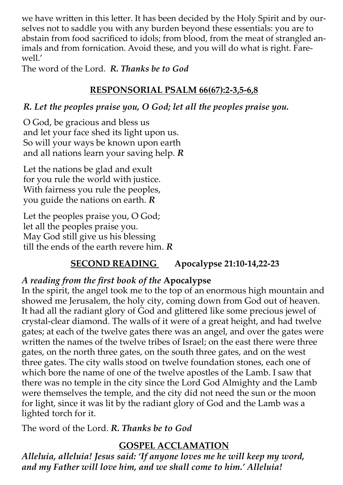we have written in this letter. It has been decided by the Holy Spirit and by ourselves not to saddle you with any burden beyond these essentials: you are to abstain from food sacrificed to idols; from blood, from the meat of strangled animals and from fornication. Avoid these, and you will do what is right. Farewell.'

The word of the Lord. *R. Thanks be to God*

### **RESPONSORIAL PSALM 66(67):2-3,5-6,8**

#### *R. Let the peoples praise you, O God; let all the peoples praise you.*

O God, be gracious and bless us and let your face shed its light upon us. So will your ways be known upon earth and all nations learn your saving help. *R*

Let the nations be glad and exult for you rule the world with justice. With fairness you rule the peoples, you guide the nations on earth. *R*

Let the peoples praise you, O God; let all the peoples praise you. May God still give us his blessing till the ends of the earth revere him. *R*

### **SECOND READING Apocalypse 21:10-14,22-23**

## *A reading from the first book of the* **Apocalypse**

In the spirit, the angel took me to the top of an enormous high mountain and showed me Jerusalem, the holy city, coming down from God out of heaven. It had all the radiant glory of God and glittered like some precious jewel of crystal-clear diamond. The walls of it were of a great height, and had twelve gates; at each of the twelve gates there was an angel, and over the gates were written the names of the twelve tribes of Israel; on the east there were three gates, on the north three gates, on the south three gates, and on the west three gates. The city walls stood on twelve foundation stones, each one of which bore the name of one of the twelve apostles of the Lamb. I saw that there was no temple in the city since the Lord God Almighty and the Lamb were themselves the temple, and the city did not need the sun or the moon for light, since it was lit by the radiant glory of God and the Lamb was a lighted torch for it.

The word of the Lord. *R. Thanks be to God* 

## **GOSPEL ACCLAMATION**

*Alleluia, alleluia! Jesus said: 'If anyone loves me he will keep my word, and my Father will love him, and we shall come to him.' Alleluia!*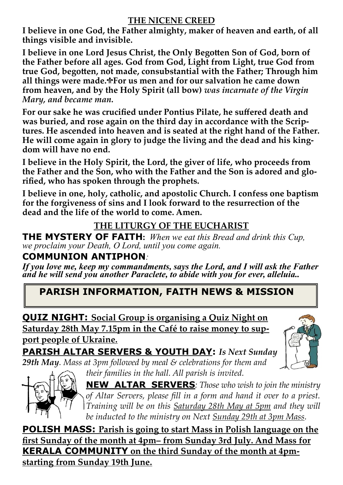#### **THE NICENE CREED**

**I believe in one God, the Father almighty, maker of heaven and earth, of all things visible and invisible.**

**I believe in one Lord Jesus Christ, the Only Begotten Son of God, born of the Father before all ages. God from God, Light from Light, true God from true God, begotten, not made, consubstantial with the Father; Through him all things were made.
For us men and for our salvation he came down from heaven, and by the Holy Spirit (all bow)** *was incarnate of the Virgin Mary, and became man.*

**For our sake he was crucified under Pontius Pilate, he suffered death and was buried, and rose again on the third day in accordance with the Scriptures. He ascended into heaven and is seated at the right hand of the Father. He will come again in glory to judge the living and the dead and his kingdom will have no end.**

**I believe in the Holy Spirit, the Lord, the giver of life, who proceeds from the Father and the Son, who with the Father and the Son is adored and glorified, who has spoken through the prophets.**

**I believe in one, holy, catholic, and apostolic Church. I confess one baptism for the forgiveness of sins and I look forward to the resurrection of the dead and the life of the world to come. Amen.**

### **THE LITURGY OF THE EUCHARIST**

**THE MYSTERY OF FAITH:** *When we eat this Bread and drink this Cup, we proclaim your Death, O Lord, until you come again.* 

### **COMMUNION ANTIPHON***:*

If you love me, keep my commandments, says the Lord, and I will ask the Father *and he will send you another Paraclete, to abide with you for ever, alleluia..* 

## **PARISH INFORMATION, FAITH NEWS & MISSION**

**QUIZ NIGHT: Social Group is organising a Quiz Night on Saturday 28th May 7.15pm in the Café to raise money to support people of Ukraine.**

**PARISH ALTAR SERVERS & YOUTH DAY:** *Is Next Sunday* 

*29th May. Mass at 3pm followed by meal & celebrations for them and their families in the hall. All parish is invited.*





**NEW ALTAR SERVERS***: Those who wish to join the ministry of Altar Servers, please fill in a form and hand it over to a priest. Training will be on this Saturday 28th May at 5pm and they will be inducted to the ministry on Next Sunday 29th at 3pm Mass.* 

**POLISH MASS: Parish is going to start Mass in Polish language on the first Sunday of the month at 4pm– from Sunday 3rd July. And Mass for KERALA COMMUNITY on the third Sunday of the month at 4pmstarting from Sunday 19th June.**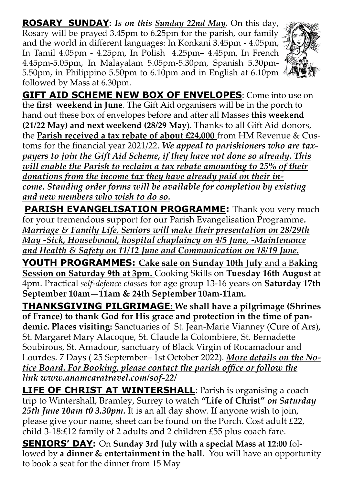**ROSARY SUNDAY:** *Is on this Sunday 22nd May.* On this day, Rosary will be prayed 3.45pm to 6.25pm for the parish, our family and the world in different languages: In Konkani 3.45pm - 4.05pm, In Tamil 4.05pm - 4.25pm, In Polish 4.25pm– 4.45pm, In French 4.45pm-5.05pm, In Malayalam 5.05pm-5.30pm, Spanish 5.30pm-5.50pm, in Philippino 5.50pm to 6.10pm and in English at 6.10pm followed by Mass at 6.30pm.



**GIFT AID SCHEME NEW BOX OF ENVELOPES**: Come into use on the **first weekend in June**. The Gift Aid organisers will be in the porch to hand out these box of envelopes before and after all Masses **this weekend (21/22 May) and next weekend (28/29 May**). Thanks to all Gift Aid donors, the **Parish received a tax rebate of about £24,000** from HM Revenue & Customs for the financial year 2021/22. *We appeal to parishioners who are taxpayers to join the Gift Aid Scheme, if they have not done so already. This will enable the Parish to reclaim a tax rebate amounting to 25% of their donations from the income tax they have already paid on their income. Standing order forms will be available for completion by existing and new members who wish to do so.*

**PARISH EVANGELISATION PROGRAMME:** Thank you very much for your tremendous support for our Parish Evangelisation Programme*. Marriage & Family Life, Seniors will make their presentation on 28/29th May -Sick, Housebound, hospital chaplaincy on 4/5 June, -Maintenance and Health & Safety on 11/12 June and Communication on 18/19 June.*

**YOUTH PROGRAMMES: Cake sale on Sunday 10th July** and a B**aking Session on Saturday 9th at 3pm.** Cooking Skills on **Tuesday 16th August** at 4pm. Practical *self*-*defence classes* for age group 13-16 years on **Saturday 17th September 10am—11am & 24th September 10am-11am.** 

**THANKSGIVING PILGRIMAGE: We shall have a pilgrimage (Shrines of France) to thank God for His grace and protection in the time of pandemic. Places visiting:** Sanctuaries of St. Jean-Marie Vianney (Cure of Ars), St. Margaret Mary Alacoque, St. Claude la Colombiere, St. Bernadette Soubirous, St. Amadour, sanctuary of Black Virgin of Rocamadour and Lourdes. 7 Days ( 25 September– 1st October 2022). *More details on the Notice Board. For Booking, please contact the parish office or follow the link www.anamcaratravel.com/sof-22/* 

**LIFE OF CHRIST AT WINTERSHALL:** Parish is organising a coach trip to Wintershall, Bramley, Surrey to watch **"Life of Christ"** *on Saturday 25th June 10am t0 3.30pm.* It is an all day show. If anyone wish to join, please give your name, sheet can be found on the Porch. Cost adult £22, child 3-18:£12 family of 2 adults and 2 children £55 plus coach fare.

**SENIORS' DAY:** On **Sunday 3rd July with a special Mass at 12:00** followed by **a dinner & entertainment in the hall**. You will have an opportunity to book a seat for the dinner from 15 May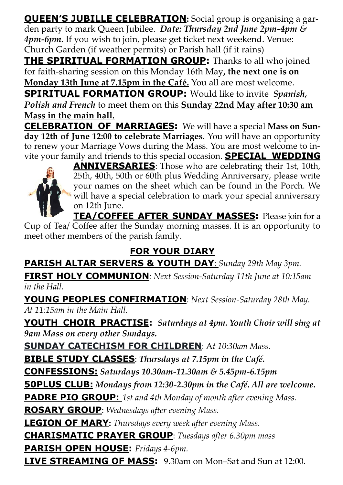**QUEEN'S JUBILLE CELEBRATION:** Social group is organising a garden party to mark Queen Jubilee. *Date: Thursday 2nd June 2pm-4pm & 4pm-6pm.* If you wish to join, please get ticket next weekend. Venue: Church Garden (if weather permits) or Parish hall (if it rains)

**THE SPIRITUAL FORMATION GROUP:** Thanks to all who joined for faith-sharing session on this Monday 16th May**, the next one is on Monday 13th June at 7.15pm in the Café.** You all are most welcome. **SPIRITUAL FORMATION GROUP:** Would like to invite *Spanish,* 

*Polish and French* to meet them on this **Sunday 22nd May after 10:30 am Mass in the main hall.**

**CELEBRATION OF MARRIAGES:** We will have a special **Mass on Sunday 12th of June 12:00 to celebrate Marriages.** You will have an opportunity to renew your Marriage Vows during the Mass. You are most welcome to invite your family and friends to this special occasion. **SPECIAL WEDDING** 



**ANNIVERSARIES**: Those who are celebrating their 1st, 10th, 25th, 40th, 50th or 60th plus Wedding Anniversary, please write your names on the sheet which can be found in the Porch. We will have a special celebration to mark your special anniversary on 12th June.

**TEA/COFFEE AFTER SUNDAY MASSES:** Please join for a Cup of Tea/ Coffee after the Sunday morning masses. It is an opportunity to meet other members of the parish family.

# **FOR YOUR DIARY**

# **PARISH ALTAR SERVERS & YOUTH DAY**: *Sunday 29th May 3pm.*  **FIRST HOLY COMMUNION***: Next Session-Saturday 11th June at 10:15am*

*in the Hall.* 

**YOUNG PEOPLES CONFIRMATION**: *Next Session-Saturday 28th May. At 11:15am in the Main Hall.* 

**YOUTH CHOIR PRACTISE:** *Saturdays at 4pm. Youth Choir will sing at 9am Mass on every other Sundays.*

**SUNDAY CATECHISM FOR CHILDREN**: A*t 10:30am Mass.* 

**BIBLE STUDY CLASSES**: *Thursdays at 7.15pm in the Café.* 

**CONFESSIONS:** *Saturdays 10.30am-11.30am & 5.45pm-6.15pm*

**50PLUS CLUB:** *Mondays from 12:30-2.30pm in the Café. All are welcome***.**

**PADRE PIO GROUP:** *1st and 4th Monday of month after evening Mass.* 

**ROSARY GROUP**: *Wednesdays after evening Mass.*

**LEGION OF MARY:** *Thursdays every week after evening Mass.*

**CHARISMATIC PRAYER GROUP**: *Tuesdays after 6.30pm mass*

**PARISH OPEN HOUSE:** *Fridays 4-6pm.*

**LIVE STREAMING OF MASS:** 9.30am on Mon–Sat and Sun at 12:00.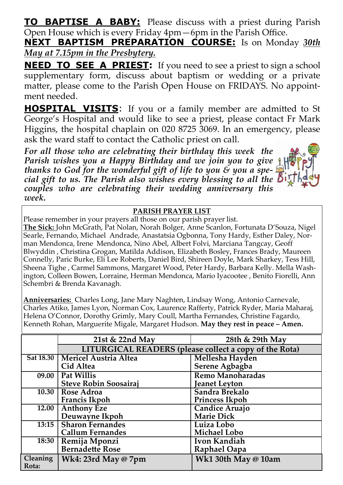**TO BAPTISE A BABY:** Please discuss with a priest during Parish Open House which is every Friday 4pm—6pm in the Parish Office.

**NEXT BAPTISM PREPARATION COURSE:** Is on Monday *30th May at 7.15pm in the Presbytery.*

**NEED TO SEE A PRIEST:** If you need to see a priest to sign a school supplementary form, discuss about baptism or wedding or a private matter, please come to the Parish Open House on FRIDAYS. No appointment needed.

**HOSPITAL VISITS:** If you or a family member are admitted to St George's Hospital and would like to see a priest, please contact Fr Mark Higgins, the hospital chaplain on 020 8725 3069. In an emergency, please ask the ward staff to contact the Catholic priest on call.

*For all those who are celebrating their birthday this week the Parish wishes you a Happy Birthday and we join you to give thanks to God for the wonderful gift of life to you & you a special gift to us. The Parish also wishes every blessing to all the couples who are celebrating their wedding anniversary this week.*



#### **PARISH PRAYER LIST**

Please remember in your prayers all those on our parish prayer list. **The Sick:** John McGrath, Pat Nolan, Norah Bolger, Anne Scanlon, Fortunata D'Souza, Nigel Searle, Fernando, Michael Andrade, Anastatsia Ogbonna, Tony Hardy, Esther Daley, Norman Mendonca, Irene Mendonca, Nino Abel, Albert Folvi, Marciana Tangcay, Geoff Blwyddin , Christina Grogan, Matilda Addison, Elizabeth Bosley, Frances Brady, Maureen Connelly, Paric Burke, Eli Lee Roberts, Daniel Bird, Shireen Doyle, Mark Sharkey, Tess Hill, Sheena Tighe , Carmel Sammons, Margaret Wood, Peter Hardy, Barbara Kelly. Mella Washington, Colleen Bowen, Lorraine, Herman Mendonca, Mario Iyacootee , Benito Fiorelli, Ann Schembri & Brenda Kavanagh.

**Anniversaries:** Charles Long, Jane Mary Naghten, Lindsay Wong, Antonio Carnevale, Charles Atiko, James Lyon, Norman Cox, Laurence Rafferty, Patrick Ryder, Maria Maharaj, Helena O'Connor, Dorothy Grimly, Mary Coull, Martha Fernandes, Christine Fagardo, Kenneth Rohan, Marguerite Migale, Margaret Hudson. **May they rest in peace – Amen.**

|           | 21st & 22nd May                                        | 28th & 29th May       |  |  |  |
|-----------|--------------------------------------------------------|-----------------------|--|--|--|
|           | LITURGICAL READERS (please collect a copy of the Rota) |                       |  |  |  |
| Sat 18.30 | <b>Mericel Austria Altea</b>                           | Mellesha Hayden       |  |  |  |
|           | Cid Altea                                              | Serene Agbagba        |  |  |  |
| 09.00     | <b>Pat Willis</b>                                      | Remo Manoharadas      |  |  |  |
|           | <b>Steve Robin Soosairaj</b>                           | <b>Jeanet Leyton</b>  |  |  |  |
|           | 10.30   Rose Adroa                                     | Sandra Brekalo        |  |  |  |
|           | <b>Francis Ikpoh</b>                                   | <b>Princess Ikpoh</b> |  |  |  |
| 12.00     | <b>Anthony Eze</b>                                     | Candice Aruajo        |  |  |  |
|           | Deuwayne Ikpoh                                         | <b>Marie Dick</b>     |  |  |  |
| 13:15     | <b>Sharon Fernandes</b>                                | Luiza Lobo            |  |  |  |
|           | <b>Callum Fernandes</b>                                | <b>Michael Lobo</b>   |  |  |  |
| 18:30     | Remija Mponzi                                          | Ivon Kandiah          |  |  |  |
|           | <b>Bernadette Rose</b>                                 | <b>Raphael Oapa</b>   |  |  |  |
| Cleaning  | Wk4: 23rd May $\omega$ 7pm                             | Wk1 30th May @ 10am   |  |  |  |
| Rota:     |                                                        |                       |  |  |  |